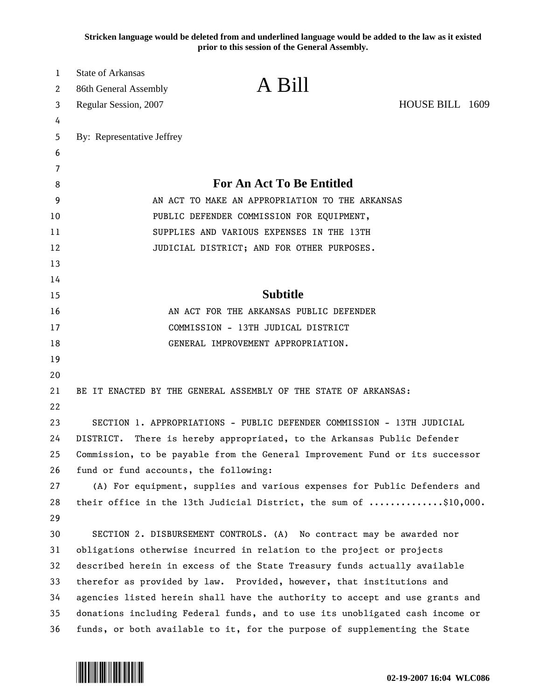**Stricken language would be deleted from and underlined language would be added to the law as it existed prior to this session of the General Assembly.**

| 1  | <b>State of Arkansas</b>                                                     |                                                                            |                 |  |
|----|------------------------------------------------------------------------------|----------------------------------------------------------------------------|-----------------|--|
| 2  | 86th General Assembly                                                        | A Bill                                                                     |                 |  |
| 3  | Regular Session, 2007                                                        |                                                                            | HOUSE BILL 1609 |  |
| 4  |                                                                              |                                                                            |                 |  |
| 5  | By: Representative Jeffrey                                                   |                                                                            |                 |  |
| 6  |                                                                              |                                                                            |                 |  |
| 7  |                                                                              |                                                                            |                 |  |
| 8  |                                                                              | <b>For An Act To Be Entitled</b>                                           |                 |  |
| 9  | AN ACT TO MAKE AN APPROPRIATION TO THE ARKANSAS                              |                                                                            |                 |  |
| 10 |                                                                              | PUBLIC DEFENDER COMMISSION FOR EQUIPMENT,                                  |                 |  |
| 11 |                                                                              | SUPPLIES AND VARIOUS EXPENSES IN THE 13TH                                  |                 |  |
| 12 | JUDICIAL DISTRICT; AND FOR OTHER PURPOSES.                                   |                                                                            |                 |  |
| 13 |                                                                              |                                                                            |                 |  |
| 14 |                                                                              |                                                                            |                 |  |
| 15 | <b>Subtitle</b>                                                              |                                                                            |                 |  |
| 16 | AN ACT FOR THE ARKANSAS PUBLIC DEFENDER                                      |                                                                            |                 |  |
| 17 | COMMISSION - 13TH JUDICAL DISTRICT                                           |                                                                            |                 |  |
| 18 |                                                                              | GENERAL IMPROVEMENT APPROPRIATION.                                         |                 |  |
| 19 |                                                                              |                                                                            |                 |  |
| 20 |                                                                              |                                                                            |                 |  |
| 21 |                                                                              | BE IT ENACTED BY THE GENERAL ASSEMBLY OF THE STATE OF ARKANSAS:            |                 |  |
| 22 |                                                                              |                                                                            |                 |  |
| 23 | SECTION 1. APPROPRIATIONS - PUBLIC DEFENDER COMMISSION - 13TH JUDICIAL       |                                                                            |                 |  |
| 24 | DISTRICT.<br>There is hereby appropriated, to the Arkansas Public Defender   |                                                                            |                 |  |
| 25 | Commission, to be payable from the General Improvement Fund or its successor |                                                                            |                 |  |
| 26 | fund or fund accounts, the following:                                        |                                                                            |                 |  |
| 27 |                                                                              | (A) For equipment, supplies and various expenses for Public Defenders and  |                 |  |
| 28 |                                                                              | their office in the 13th Judicial District, the sum of \$10,000.           |                 |  |
| 29 |                                                                              |                                                                            |                 |  |
| 30 |                                                                              | SECTION 2. DISBURSEMENT CONTROLS. (A) No contract may be awarded nor       |                 |  |
| 31 | obligations otherwise incurred in relation to the project or projects        |                                                                            |                 |  |
| 32 | described herein in excess of the State Treasury funds actually available    |                                                                            |                 |  |
| 33 | therefor as provided by law. Provided, however, that institutions and        |                                                                            |                 |  |
| 34 | agencies listed herein shall have the authority to accept and use grants and |                                                                            |                 |  |
| 35 | donations including Federal funds, and to use its unobligated cash income or |                                                                            |                 |  |
| 36 |                                                                              | funds, or both available to it, for the purpose of supplementing the State |                 |  |